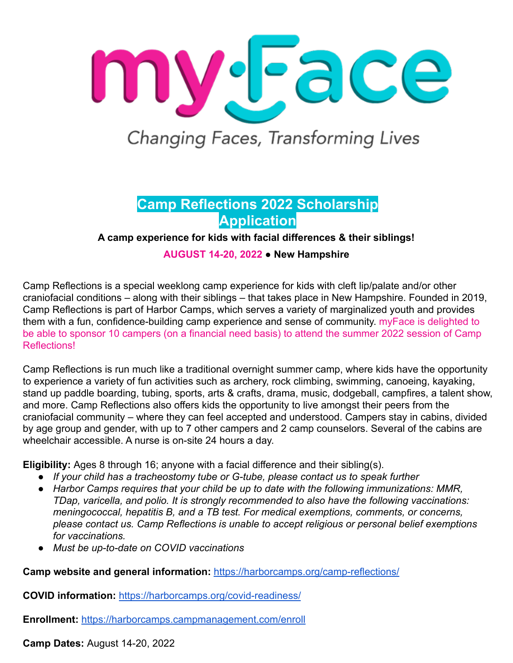

Changing Faces, Transforming Lives

# **Camp Reflections 2022 Scholarship Application**

**A camp experience for kids with facial differences & their siblings!**

**AUGUST 14-20, 2022** ● **New Hampshire**

Camp Reflections is a special weeklong camp experience for kids with cleft lip/palate and/or other craniofacial conditions – along with their siblings – that takes place in New Hampshire. Founded in 2019, Camp Reflections is part of Harbor Camps, which serves a variety of marginalized youth and provides them with a fun, confidence-building camp experience and sense of community. myFace is delighted to be able to sponsor 10 campers (on a financial need basis) to attend the summer 2022 session of Camp Reflections!

Camp Reflections is run much like a traditional overnight summer camp, where kids have the opportunity to experience a variety of fun activities such as archery, rock climbing, swimming, canoeing, kayaking, stand up paddle boarding, tubing, sports, arts & crafts, drama, music, dodgeball, campfires, a talent show, and more. Camp Reflections also offers kids the opportunity to live amongst their peers from the craniofacial community – where they can feel accepted and understood. Campers stay in cabins, divided by age group and gender, with up to 7 other campers and 2 camp counselors. Several of the cabins are wheelchair accessible. A nurse is on-site 24 hours a day.

**Eligibility:** Ages 8 through 16; anyone with a facial difference and their sibling(s).

- *● If your child has a tracheostomy tube or G-tube, please contact us to speak further*
- *● Harbor Camps requires that your child be up to date with the following immunizations: MMR, TDap, varicella, and polio. It is strongly recommended to also have the following vaccinations: meningococcal, hepatitis B, and a TB test. For medical exemptions, comments, or concerns, please contact us. Camp Reflections is unable to accept religious or personal belief exemptions for vaccinations.*
- *● Must be up-to-date on COVID vaccinations*

**Camp website and general information:** <https://harborcamps.org/camp-reflections/>

**COVID information:** <https://harborcamps.org/covid-readiness/>

**Enrollment:** <https://harborcamps.campmanagement.com/enroll>

**Camp Dates:** August 14-20, 2022